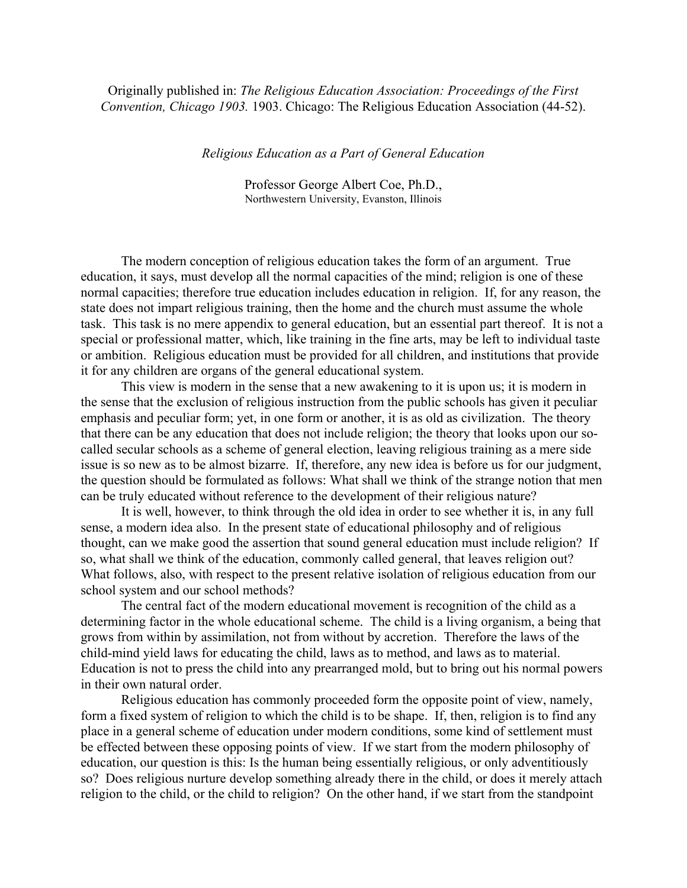Originally published in: *The Religious Education Association: Proceedings of the First Convention, Chicago 1903.* 1903. Chicago: The Religious Education Association (44-52).

*Religious Education as a Part of General Education*

Professor George Albert Coe, Ph.D., Northwestern University, Evanston, Illinois

 The modern conception of religious education takes the form of an argument. True education, it says, must develop all the normal capacities of the mind; religion is one of these normal capacities; therefore true education includes education in religion. If, for any reason, the state does not impart religious training, then the home and the church must assume the whole task. This task is no mere appendix to general education, but an essential part thereof. It is not a special or professional matter, which, like training in the fine arts, may be left to individual taste or ambition. Religious education must be provided for all children, and institutions that provide it for any children are organs of the general educational system.

 This view is modern in the sense that a new awakening to it is upon us; it is modern in the sense that the exclusion of religious instruction from the public schools has given it peculiar emphasis and peculiar form; yet, in one form or another, it is as old as civilization. The theory that there can be any education that does not include religion; the theory that looks upon our socalled secular schools as a scheme of general election, leaving religious training as a mere side issue is so new as to be almost bizarre. If, therefore, any new idea is before us for our judgment, the question should be formulated as follows: What shall we think of the strange notion that men can be truly educated without reference to the development of their religious nature?

 It is well, however, to think through the old idea in order to see whether it is, in any full sense, a modern idea also. In the present state of educational philosophy and of religious thought, can we make good the assertion that sound general education must include religion? If so, what shall we think of the education, commonly called general, that leaves religion out? What follows, also, with respect to the present relative isolation of religious education from our school system and our school methods?

 The central fact of the modern educational movement is recognition of the child as a determining factor in the whole educational scheme. The child is a living organism, a being that grows from within by assimilation, not from without by accretion. Therefore the laws of the child-mind yield laws for educating the child, laws as to method, and laws as to material. Education is not to press the child into any prearranged mold, but to bring out his normal powers in their own natural order.

 Religious education has commonly proceeded form the opposite point of view, namely, form a fixed system of religion to which the child is to be shape. If, then, religion is to find any place in a general scheme of education under modern conditions, some kind of settlement must be effected between these opposing points of view. If we start from the modern philosophy of education, our question is this: Is the human being essentially religious, or only adventitiously so? Does religious nurture develop something already there in the child, or does it merely attach religion to the child, or the child to religion? On the other hand, if we start from the standpoint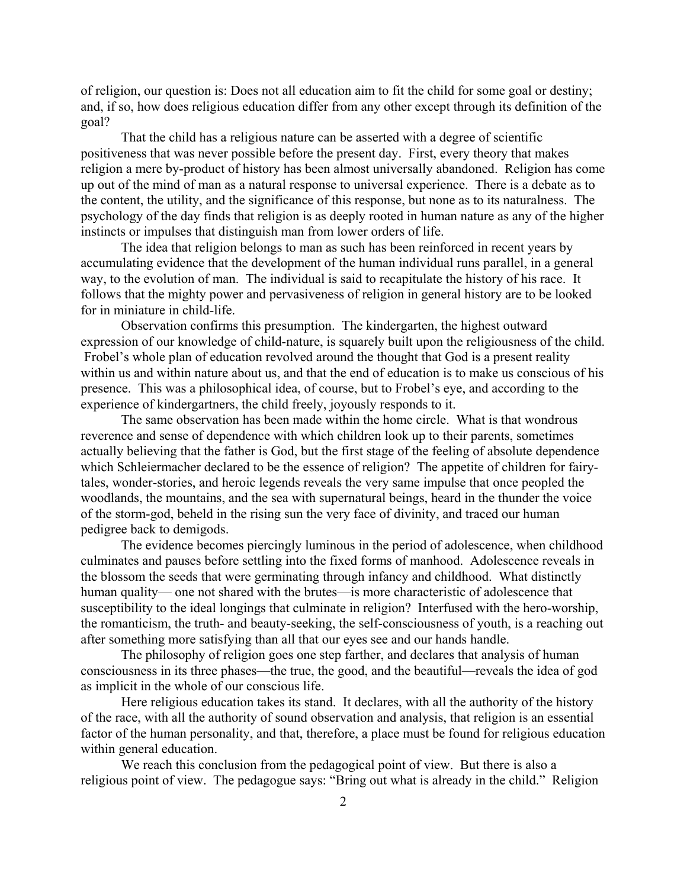of religion, our question is: Does not all education aim to fit the child for some goal or destiny; and, if so, how does religious education differ from any other except through its definition of the goal?

That the child has a religious nature can be asserted with a degree of scientific positiveness that was never possible before the present day. First, every theory that makes religion a mere by-product of history has been almost universally abandoned. Religion has come up out of the mind of man as a natural response to universal experience. There is a debate as to the content, the utility, and the significance of this response, but none as to its naturalness. The psychology of the day finds that religion is as deeply rooted in human nature as any of the higher instincts or impulses that distinguish man from lower orders of life.

The idea that religion belongs to man as such has been reinforced in recent years by accumulating evidence that the development of the human individual runs parallel, in a general way, to the evolution of man. The individual is said to recapitulate the history of his race. It follows that the mighty power and pervasiveness of religion in general history are to be looked for in miniature in child-life.

Observation confirms this presumption. The kindergarten, the highest outward expression of our knowledge of child-nature, is squarely built upon the religiousness of the child. Frobel's whole plan of education revolved around the thought that God is a present reality within us and within nature about us, and that the end of education is to make us conscious of his presence. This was a philosophical idea, of course, but to Frobel's eye, and according to the experience of kindergartners, the child freely, joyously responds to it.

The same observation has been made within the home circle. What is that wondrous reverence and sense of dependence with which children look up to their parents, sometimes actually believing that the father is God, but the first stage of the feeling of absolute dependence which Schleiermacher declared to be the essence of religion? The appetite of children for fairytales, wonder-stories, and heroic legends reveals the very same impulse that once peopled the woodlands, the mountains, and the sea with supernatural beings, heard in the thunder the voice of the storm-god, beheld in the rising sun the very face of divinity, and traced our human pedigree back to demigods.

The evidence becomes piercingly luminous in the period of adolescence, when childhood culminates and pauses before settling into the fixed forms of manhood. Adolescence reveals in the blossom the seeds that were germinating through infancy and childhood. What distinctly human quality— one not shared with the brutes—is more characteristic of adolescence that susceptibility to the ideal longings that culminate in religion? Interfused with the hero-worship, the romanticism, the truth- and beauty-seeking, the self-consciousness of youth, is a reaching out after something more satisfying than all that our eyes see and our hands handle.

The philosophy of religion goes one step farther, and declares that analysis of human consciousness in its three phases—the true, the good, and the beautiful—reveals the idea of god as implicit in the whole of our conscious life.

Here religious education takes its stand. It declares, with all the authority of the history of the race, with all the authority of sound observation and analysis, that religion is an essential factor of the human personality, and that, therefore, a place must be found for religious education within general education.

We reach this conclusion from the pedagogical point of view. But there is also a religious point of view. The pedagogue says: "Bring out what is already in the child." Religion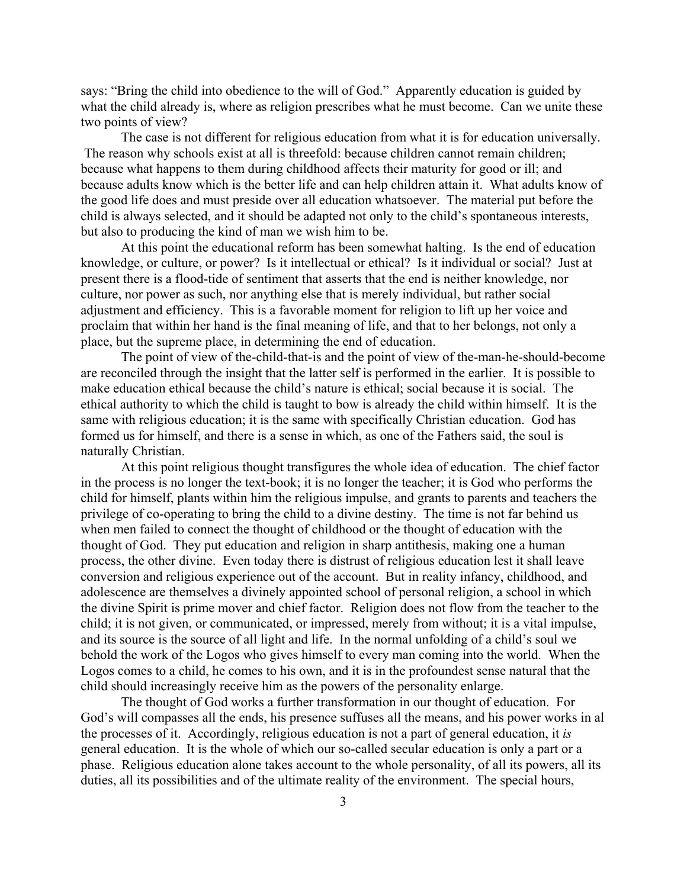says: "Bring the child into obedience to the will of God." Apparently education is guided by what the child already is, where as religion prescribes what he must become. Can we unite these two points of view?

The case is not different for religious education from what it is for education universally. The reason why schools exist at all is threefold: because children cannot remain children; because what happens to them during childhood affects their maturity for good or ill; and because adults know which is the better life and can help children attain it. What adults know of the good life does and must preside over all education whatsoever. The material put before the child is always selected, and it should be adapted not only to the child's spontaneous interests, but also to producing the kind of man we wish him to be.

At this point the educational reform has been somewhat halting. Is the end of education knowledge, or culture, or power? Is it intellectual or ethical? Is it individual or social? Just at present there is a flood-tide of sentiment that asserts that the end is neither knowledge, nor culture, nor power as such, nor anything else that is merely individual, but rather social adjustment and efficiency. This is a favorable moment for religion to lift up her voice and proclaim that within her hand is the final meaning of life, and that to her belongs, not only a place, but the supreme place, in determining the end of education.

The point of view of the-child-that-is and the point of view of the-man-he-should-become are reconciled through the insight that the latter self is performed in the earlier. It is possible to make education ethical because the child's nature is ethical; social because it is social. The ethical authority to which the child is taught to bow is already the child within himself. It is the same with religious education; it is the same with specifically Christian education. God has formed us for himself, and there is a sense in which, as one of the Fathers said, the soul is naturally Christian.

At this point religious thought transfigures the whole idea of education. The chief factor in the process is no longer the text-book; it is no longer the teacher; it is God who performs the child for himself, plants within him the religious impulse, and grants to parents and teachers the privilege of co-operating to bring the child to a divine destiny. The time is not far behind us when men failed to connect the thought of childhood or the thought of education with the thought of God. They put education and religion in sharp antithesis, making one a human process, the other divine. Even today there is distrust of religious education lest it shall leave conversion and religious experience out of the account. But in reality infancy, childhood, and adolescence are themselves a divinely appointed school of personal religion, a school in which the divine Spirit is prime mover and chief factor. Religion does not flow from the teacher to the child; it is not given, or communicated, or impressed, merely from without; it is a vital impulse, and its source is the source of all light and life. In the normal unfolding of a child's soul we behold the work of the Logos who gives himself to every man coming into the world. When the Logos comes to a child, he comes to his own, and it is in the profoundest sense natural that the child should increasingly receive him as the powers of the personality enlarge.

The thought of God works a further transformation in our thought of education. For God's will compasses all the ends, his presence suffuses all the means, and his power works in al the processes of it. Accordingly, religious education is not a part of general education, it *is* general education. It is the whole of which our so-called secular education is only a part or a phase. Religious education alone takes account to the whole personality, of all its powers, all its duties, all its possibilities and of the ultimate reality of the environment. The special hours,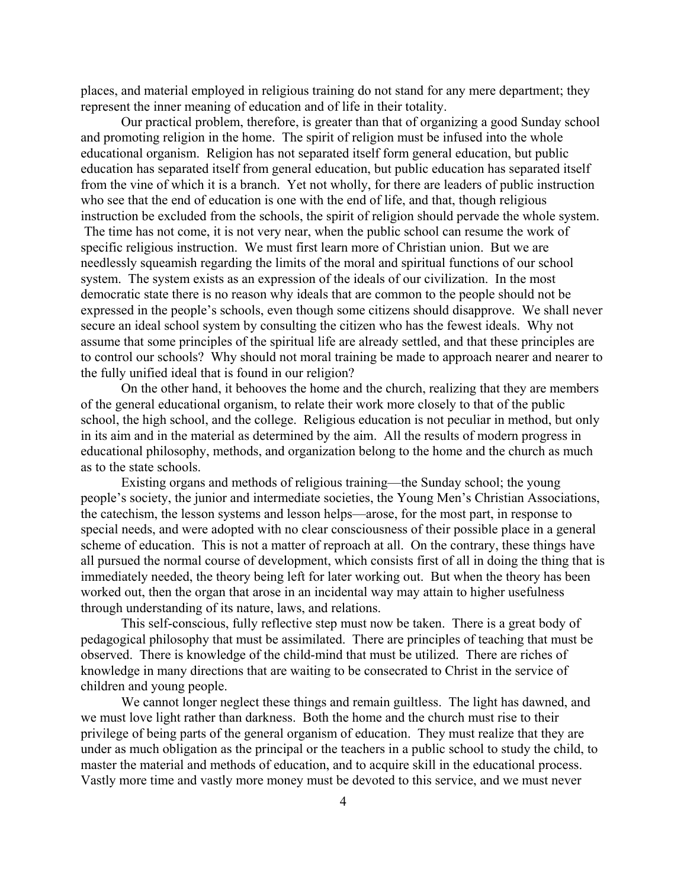places, and material employed in religious training do not stand for any mere department; they represent the inner meaning of education and of life in their totality.

Our practical problem, therefore, is greater than that of organizing a good Sunday school and promoting religion in the home. The spirit of religion must be infused into the whole educational organism. Religion has not separated itself form general education, but public education has separated itself from general education, but public education has separated itself from the vine of which it is a branch. Yet not wholly, for there are leaders of public instruction who see that the end of education is one with the end of life, and that, though religious instruction be excluded from the schools, the spirit of religion should pervade the whole system. The time has not come, it is not very near, when the public school can resume the work of specific religious instruction. We must first learn more of Christian union. But we are needlessly squeamish regarding the limits of the moral and spiritual functions of our school system. The system exists as an expression of the ideals of our civilization. In the most democratic state there is no reason why ideals that are common to the people should not be expressed in the people's schools, even though some citizens should disapprove. We shall never secure an ideal school system by consulting the citizen who has the fewest ideals. Why not assume that some principles of the spiritual life are already settled, and that these principles are

to control our schools? Why should not moral training be made to approach nearer and nearer to the fully unified ideal that is found in our religion? On the other hand, it behooves the home and the church, realizing that they are members of the general educational organism, to relate their work more closely to that of the public school, the high school, and the college. Religious education is not peculiar in method, but only in its aim and in the material as determined by the aim. All the results of modern progress in

educational philosophy, methods, and organization belong to the home and the church as much as to the state schools. Existing organs and methods of religious training—the Sunday school; the young people's society, the junior and intermediate societies, the Young Men's Christian Associations,

the catechism, the lesson systems and lesson helps—arose, for the most part, in response to special needs, and were adopted with no clear consciousness of their possible place in a general scheme of education. This is not a matter of reproach at all. On the contrary, these things have all pursued the normal course of development, which consists first of all in doing the thing that is immediately needed, the theory being left for later working out. But when the theory has been worked out, then the organ that arose in an incidental way may attain to higher usefulness through understanding of its nature, laws, and relations.

This self-conscious, fully reflective step must now be taken. There is a great body of pedagogical philosophy that must be assimilated. There are principles of teaching that must be observed. There is knowledge of the child-mind that must be utilized. There are riches of knowledge in many directions that are waiting to be consecrated to Christ in the service of children and young people.

We cannot longer neglect these things and remain guiltless. The light has dawned, and we must love light rather than darkness. Both the home and the church must rise to their privilege of being parts of the general organism of education. They must realize that they are under as much obligation as the principal or the teachers in a public school to study the child, to master the material and methods of education, and to acquire skill in the educational process. Vastly more time and vastly more money must be devoted to this service, and we must never